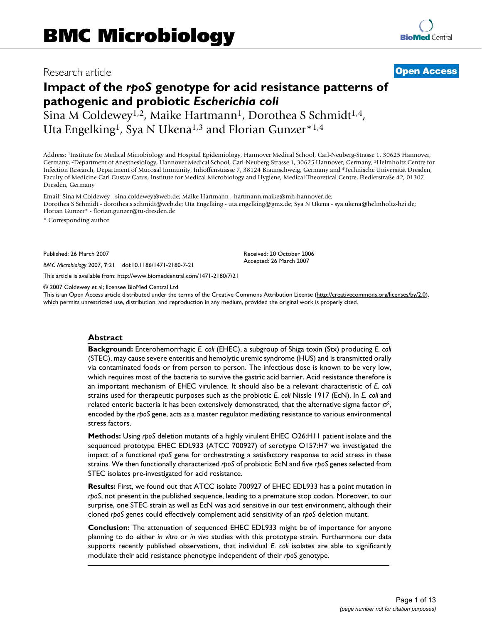## Research article **[Open Access](http://www.biomedcentral.com/info/about/charter/)**

# **Impact of the** *rpoS* **genotype for acid resistance patterns of pathogenic and probiotic** *Escherichia coli*

Sina M Coldewey<sup>1,2</sup>, Maike Hartmann<sup>1</sup>, Dorothea S Schmidt<sup>1,4</sup>, Uta Engelking<sup>1</sup>, Sya N Ukena<sup>1,3</sup> and Florian Gunzer<sup>\*1,4</sup>

Address: 1Institute for Medical Microbiology and Hospital Epidemiology, Hannover Medical School, Carl-Neuberg-Strasse 1, 30625 Hannover, Germany, 2Department of Anesthesiology, Hannover Medical School, Carl-Neuberg-Strasse 1, 30625 Hannover, Germany, 3Helmholtz Centre for Infection Research, Department of Mucosal Immunity, Inhoffenstrasse 7, 38124 Braunschweig, Germany and 4Technische Universität Dresden, Faculty of Medicine Carl Gustav Carus, Institute for Medical Microbiology and Hygiene, Medical Theoretical Centre, Fiedlerstraße 42, 01307 Dresden, Germany

Email: Sina M Coldewey - sina.coldewey@web.de; Maike Hartmann - hartmann.maike@mh-hannover.de; Dorothea S Schmidt - dorothea.s.schmidt@web.de; Uta Engelking - uta.engelking@gmx.de; Sya N Ukena - sya.ukena@helmholtz-hzi.de; Florian Gunzer\* - florian.gunzer@tu-dresden.de

\* Corresponding author

Published: 26 March 2007

*BMC Microbiology* 2007, **7**:21 doi:10.1186/1471-2180-7-21

[This article is available from: http://www.biomedcentral.com/1471-2180/7/21](http://www.biomedcentral.com/1471-2180/7/21)

© 2007 Coldewey et al; licensee BioMed Central Ltd.

This is an Open Access article distributed under the terms of the Creative Commons Attribution License [\(http://creativecommons.org/licenses/by/2.0\)](http://creativecommons.org/licenses/by/2.0), which permits unrestricted use, distribution, and reproduction in any medium, provided the original work is properly cited.

Received: 20 October 2006 Accepted: 26 March 2007

#### **Abstract**

**Background:** Enterohemorrhagic *E. coli* (EHEC), a subgroup of Shiga toxin (Stx) producing *E. coli* (STEC), may cause severe enteritis and hemolytic uremic syndrome (HUS) and is transmitted orally via contaminated foods or from person to person. The infectious dose is known to be very low, which requires most of the bacteria to survive the gastric acid barrier. Acid resistance therefore is an important mechanism of EHEC virulence. It should also be a relevant characteristic of *E. coli* strains used for therapeutic purposes such as the probiotic *E. coli* Nissle 1917 (EcN). In *E. coli* and related enteric bacteria it has been extensively demonstrated, that the alternative sigma factor  $\sigma$ <sup>S</sup>, encoded by the *rpoS* gene, acts as a master regulator mediating resistance to various environmental stress factors.

**Methods:** Using *rpoS* deletion mutants of a highly virulent EHEC O26:H11 patient isolate and the sequenced prototype EHEC EDL933 (ATCC 700927) of serotype O157:H7 we investigated the impact of a functional *rpoS* gene for orchestrating a satisfactory response to acid stress in these strains. We then functionally characterized *rpoS* of probiotic EcN and five r*poS* genes selected from STEC isolates pre-investigated for acid resistance.

**Results:** First, we found out that ATCC isolate 700927 of EHEC EDL933 has a point mutation in *rpoS*, not present in the published sequence, leading to a premature stop codon. Moreover, to our surprise, one STEC strain as well as EcN was acid sensitive in our test environment, although their cloned *rpoS* genes could effectively complement acid sensitivity of an *rpoS* deletion mutant.

**Conclusion:** The attenuation of sequenced EHEC EDL933 might be of importance for anyone planning to do either *in vitro* or *in vivo* studies with this prototype strain. Furthermore our data supports recently published observations, that individual *E. coli* isolates are able to significantly modulate their acid resistance phenotype independent of their *rpoS* genotype.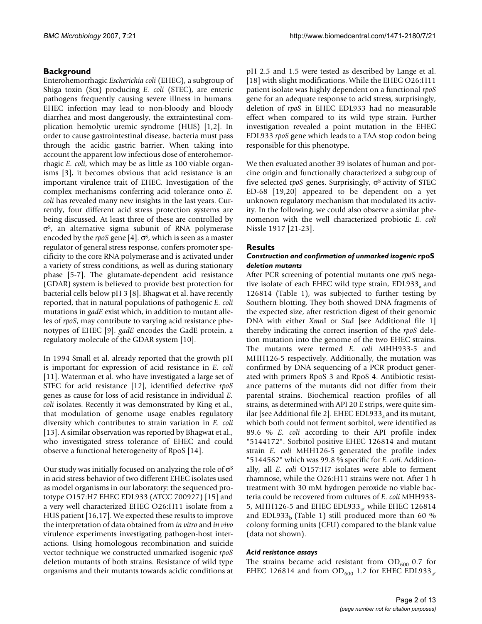### **Background**

Enterohemorrhagic *Escherichia coli* (EHEC), a subgroup of Shiga toxin (Stx) producing *E. coli* (STEC), are enteric pathogens frequently causing severe illness in humans. EHEC infection may lead to non-bloody and bloody diarrhea and most dangerously, the extraintestinal complication hemolytic uremic syndrome (HUS) [1,2]. In order to cause gastrointestinal disease, bacteria must pass through the acidic gastric barrier. When taking into account the apparent low infectious dose of enterohemorrhagic *E. coli*, which may be as little as 100 viable organisms [3], it becomes obvious that acid resistance is an important virulence trait of EHEC. Investigation of the complex mechanisms conferring acid tolerance onto *E. coli* has revealed many new insights in the last years. Currently, four different acid stress protection systems are being discussed. At least three of these are controlled by  $\sigma$ <sup>S</sup>, an alternative sigma subunit of RNA polymerase encoded by the *rpoS* gene [4].  $\sigma$ <sup>S</sup>, which is seen as a master regulator of general stress response, confers promoter specificity to the core RNA polymerase and is activated under a variety of stress conditions, as well as during stationary phase [5-7]. The glutamate-dependent acid resistance (GDAR) system is believed to provide best protection for bacterial cells below pH 3 [8]. Bhagwat et al. have recently reported, that in natural populations of pathogenic *E. coli* mutations in *gadE* exist which, in addition to mutant alleles of *rpoS*, may contribute to varying acid resistance phenotypes of EHEC [9]. *gadE* encodes the GadE protein, a regulatory molecule of the GDAR system [10].

In 1994 Small et al. already reported that the growth pH is important for expression of acid resistance in *E. coli* [11]. Waterman et al. who have investigated a large set of STEC for acid resistance [12], identified defective *rpoS* genes as cause for loss of acid resistance in individual *E. coli* isolates. Recently it was demonstrated by King et al., that modulation of genome usage enables regulatory diversity which contributes to strain variation in *E. coli* [13]. A similar observation was reported by Bhagwat et al., who investigated stress tolerance of EHEC and could observe a functional heterogeneity of RpoS [14].

Our study was initially focused on analyzing the role of  $\sigma$ <sup>S</sup> in acid stress behavior of two different EHEC isolates used as model organisms in our laboratory: the sequenced prototype O157:H7 EHEC EDL933 (ATCC 700927) [15] and a very well characterized EHEC O26:H11 isolate from a HUS patient [16,17]. We expected these results to improve the interpretation of data obtained from *in vitro* and *in vivo* virulence experiments investigating pathogen-host interactions. Using homologous recombination and suicide vector technique we constructed unmarked isogenic *rpoS* deletion mutants of both strains. Resistance of wild type organisms and their mutants towards acidic conditions at

pH 2.5 and 1.5 were tested as described by Lange et al. [18] with slight modifications. While the EHEC O26:H11 patient isolate was highly dependent on a functional *rpoS* gene for an adequate response to acid stress, surprisingly, deletion of *rpoS* in EHEC EDL933 had no measurable effect when compared to its wild type strain. Further investigation revealed a point mutation in the EHEC EDL933 *rpoS* gene which leads to a TAA stop codon being responsible for this phenotype.

We then evaluated another 39 isolates of human and porcine origin and functionally characterized a subgroup of five selected *rpoS* genes. Surprisingly, σ<sup>s</sup> activity of STEC ED-68 [19[,20](#page-11-0)] appeared to be dependent on a yet unknown regulatory mechanism that modulated its activity. In the following, we could also observe a similar phenomenon with the well characterized probiotic *E. coli* Nissle 1917 [21-23].

#### **Results**

#### *Construction and confirmation of unmarked isogenic* **rpoS**  *deletion mutants*

After PCR screening of potential mutants one *rpoS* negative isolate of each EHEC wild type strain, EDL933, and 126814 (Table 1), was subjected to further testing by Southern blotting. They both showed DNA fragments of the expected size, after restriction digest of their genomic DNA with either *Xmn*I or *Stu*I [see Additional file 1] thereby indicating the correct insertion of the *rpoS* deletion mutation into the genome of the two EHEC strains. The mutants were termed *E. coli* MHH933-5 and MHH126-5 respectively. Additionally, the mutation was confirmed by DNA sequencing of a PCR product generated with primers RpoS 3 and RpoS 4. Antibiotic resistance patterns of the mutants did not differ from their parental strains. Biochemical reaction profiles of all strains, as determined with API 20 E strips, were quite similar [see Additional file 2]. EHEC EDL933 $_{a}$  and its mutant, which both could not ferment sorbitol, were identified as 89.6 % *E. coli* according to their API profile index "5144172". Sorbitol positive EHEC 126814 and mutant strain *E. coli* MHH126-5 generated the profile index "5144562" which was 99.8 % specific for *E. coli*. Additionally, all *E. coli* O157:H7 isolates were able to ferment rhamnose, while the O26:H11 strains were not. After 1 h treatment with 30 mM hydrogen peroxide no viable bacteria could be recovered from cultures of *E. coli* MHH933- 5, MHH126-5 and EHEC EDL933<sub>a</sub>, while EHEC 126814 and EDL933<sub>b</sub> (Table 1) still produced more than 60 % colony forming units (CFU) compared to the blank value (data not shown).

#### *Acid resistance assays*

The strains became acid resistant from  $OD_{600}$  0.7 for EHEC 126814 and from OD<sub>600</sub> 1.2 for EHEC EDL933<sub>a</sub>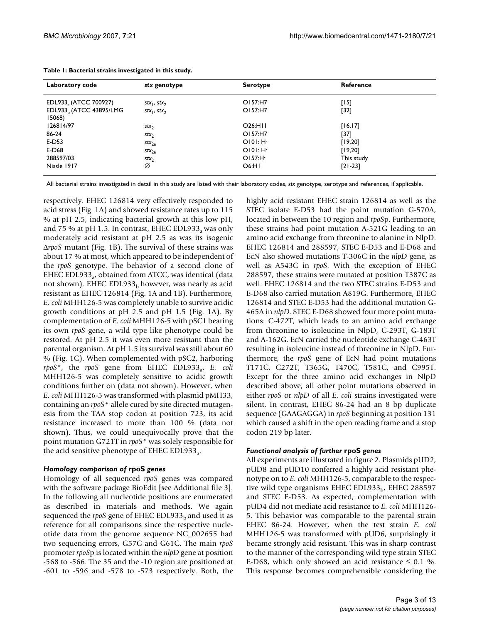| Laboratory code                   | stx genotype        | <b>Serotype</b>      | Reference  |  |
|-----------------------------------|---------------------|----------------------|------------|--|
| EDL933, (ATCC 700927)             | $stx_1, stx_2$      | O157:H7              | [15]       |  |
| EDL933, (ATCC 43895/LMG<br>15068) | $stx_1, stx_2$      | O157:H7              | [32]       |  |
| 126814/97                         | stx <sub>2</sub>    | O26:HII              | [16, 17]   |  |
| 86-24                             | $stx_2$             | O157:H7              | [37]       |  |
| E-D53                             | $stx_{2e}$          | $O[0]: H-$           | [19, 20]   |  |
| E-D68                             | $\mathsf{stx}_{2e}$ | O[0]: H <sub>1</sub> | [19, 20]   |  |
| 288597/03                         | stx <sub>2</sub>    | O157: H <sub>1</sub> | This study |  |
| Nissle 1917                       | Ø                   | O6:HI                | $[21-23]$  |  |

All bacterial strains investigated in detail in this study are listed with their laboratory codes, *stx* genotype, serotype and references, if applicable.

respectively. EHEC 126814 very effectively responded to acid stress (Fig. 1A) and showed resistance rates up to 115 % at pH 2.5, indicating bacterial growth at this low pH, and 75 % at pH 1.5. In contrast, EHEC EDL933<sub>a</sub> was only moderately acid resistant at pH 2.5 as was its isogenic Δ*rpoS* mutant (Fig. 1B). The survival of these strains was about 17 % at most, which appeared to be independent of the *rpoS* genotype. The behavior of a second clone of EHEC EDL933 $_{24}$  obtained from ATCC, was identical (data not shown). EHEC EDL933 $_b$  however, was nearly as acid resistant as EHEC 126814 (Fig. 1A and 1B). Furthermore, *E. coli* MHH126-5 was completely unable to survive acidic growth conditions at pH 2.5 and pH 1.5 (Fig. 1A). By complementation of *E. coli* MHH126-5 with pSC1 bearing its own *rpoS* gene, a wild type like phenotype could be restored. At pH 2.5 it was even more resistant than the parental organism. At pH 1.5 its survival was still about 60 % (Fig. 1C). When complemented with pSC2, harboring *rpoS*<sup>\*</sup>, the *rpoS* gene from EHEC EDL933<sub>a</sub>, *E. coli* MHH126-5 was completely sensitive to acidic growth conditions further on (data not shown). However, when *E. coli* MHH126-5 was transformed with plasmid pMH33, containing an *rpoS\** allele cured by site directed mutagenesis from the TAA stop codon at position 723, its acid resistance increased to more than 100 % (data not shown). Thus, we could unequivocally prove that the point mutation G721T in *rpoS\** was solely responsible for the acid sensitive phenotype of EHEC EDL933 $_{3}$ .

#### *Homology comparison of* **rpoS** *genes*

Homology of all sequenced *rpoS* genes was compared with the software package BioEdit [see Additional file 3]. In the following all nucleotide positions are enumerated as described in materials and methods. We again sequenced the  $rpoS$  gene of EHEC EDL933<sub>b</sub> and used it as reference for all comparisons since the respective nucleotide data from the genome sequence NC\_002655 had two sequencing errors, G57C and G61C. The main *rpoS* promoter *rpoS*p is located within the *nlpD* gene at position -568 to -566. The 35 and the -10 region are positioned at -601 to -596 and -578 to -573 respectively. Both, the

highly acid resistant EHEC strain 126814 as well as the STEC isolate E-D53 had the point mutation G-570A, located in between the 10 region and *rpoS*p. Furthermore, these strains had point mutation A-521G leading to an amino acid exchange from threonine to alanine in NlpD. EHEC 126814 and 288597, STEC E-D53 and E-D68 and EcN also showed mutations T-306C in the *nlpD* gene, as well as A543C in *rpoS*. With the exception of EHEC 288597, these strains were mutated at position T387C as well. EHEC 126814 and the two STEC strains E-D53 and E-D68 also carried mutation A819G. Furthermore, EHEC 126814 and STEC E-D53 had the additional mutation G-465A in *nlpD*. STEC E-D68 showed four more point mutations: C-472T, which leads to an amino acid exchange from threonine to isoleucine in NlpD, C-293T, G-183T and A-162G. EcN carried the nucleotide exchange C-463T resulting in isoleucine instead of threonine in NlpD. Furthermore, the *rpoS* gene of EcN had point mutations T171C, C272T, T365G, T470C, T581C, and C995T. Except for the three amino acid exchanges in NlpD described above, all other point mutations observed in either *rpoS* or *nlpD* of all *E. coli* strains investigated were silent. In contrast, EHEC 86-24 had an 8 bp duplicate sequence (GAAGAGGA) in *rpoS* beginning at position 131 which caused a shift in the open reading frame and a stop codon 219 bp later.

#### *Functional analysis of further* **rpoS** *genes*

All experiments are illustrated in figure 2. Plasmids pUD2, pUD8 and pUD10 conferred a highly acid resistant phenotype on to *E. coli* MHH126-5, comparable to the respective wild type organisms EHEC EDL933 $_{\rm b}$ , EHEC 288597 and STEC E-D53. As expected, complementation with pUD4 did not mediate acid resistance to *E. coli* MHH126- 5. This behavior was comparable to the parental strain EHEC 86-24. However, when the test strain *E. coli* MHH126-5 was transformed with pUD6, surprisingly it became strongly acid resistant. This was in sharp contrast to the manner of the corresponding wild type strain STEC E-D68, which only showed an acid resistance  $\leq 0.1$  %. This response becomes comprehensible considering the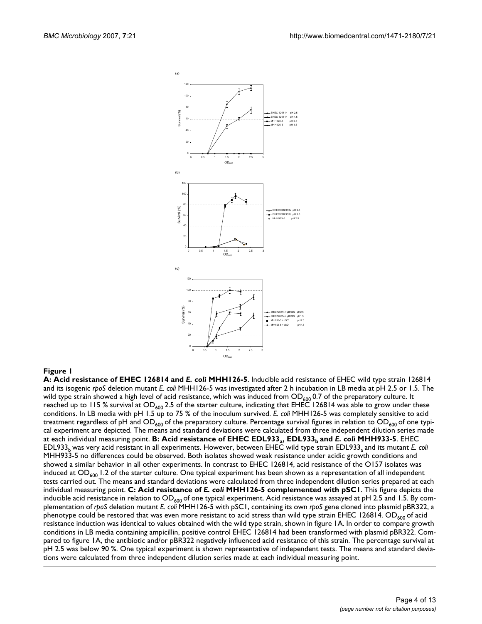

#### Figure 1

**A: Acid resistance of EHEC 126814 and** *E. coli* **MHH126-5**. Inducible acid resistance of EHEC wild type strain 126814 and its isogenic *rpoS* deletion mutant *E. coli* MHH126-5 was investigated after 2 h incubation in LB media at pH 2.5 or 1.5. The wild type strain showed a high level of acid resistance, which was induced from  $OD_{600}$  0.7 of the preparatory culture. It reached up to 115 % survival at  $OD_{600}$  2.5 of the starter culture, indicating that EHEC 126814 was able to grow under these conditions. In LB media with pH 1.5 up to 75 % of the inoculum survived. *E. coli* MHH126-5 was completely sensitive to acid treatment regardless of pH and  $OD_{600}$  of the preparatory culture. Percentage survival figures in relation to  $OD_{600}$  of one typical experiment are depicted. The means and standard deviations were calculated from three independent dilution series made at each individual measuring point. **B: Acid resistance of EHEC EDL933<sub>a</sub>, EDL933<sub>b</sub> and** *E***. coli MHH933-5**. EHEC EDL933<sub>b</sub> was very acid resistant in all experiments. However, between EHEC wild type strain EDL933<sub>a</sub> and its mutant *E. coli* MHH933-5 no differences could be observed. Both isolates showed weak resistance under acidic growth conditions and showed a similar behavior in all other experiments. In contrast to EHEC 126814, acid resistance of the O157 isolates was induced at  $OD_{600}$  1.2 of the starter culture. One typical experiment has been shown as a representation of all independent tests carried out. The means and standard deviations were calculated from three independent dilution series prepared at each individual measuring point. **C: Acid resistance of** *E. coli* **MHH126-5 complemented with pSC1**. This figure depicts the inducible acid resistance in relation to OD<sub>600</sub> of one typical experiment. Acid resistance was assayed at pH 2.5 and 1.5. By complementation of *rpoS* deletion mutant *E. coli* MHH126-5 with pSC1, containing its own *rpoS* gene cloned into plasmid pBR322, a phenotype could be restored that was even more resistant to acid stress than wild type strain EHEC 126814. OD<sub>600</sub> of acid resistance induction was identical to values obtained with the wild type strain, shown in figure 1A. In order to compare growth conditions in LB media containing ampicillin, positive control EHEC 126814 had been transformed with plasmid pBR322. Compared to figure 1A, the antibiotic and/or pBR322 negatively influenced acid resistance of this strain. The percentage survival at pH 2.5 was below 90 %. One typical experiment is shown representative of independent tests. The means and standard deviations were calculated from three independent dilution series made at each individual measuring point.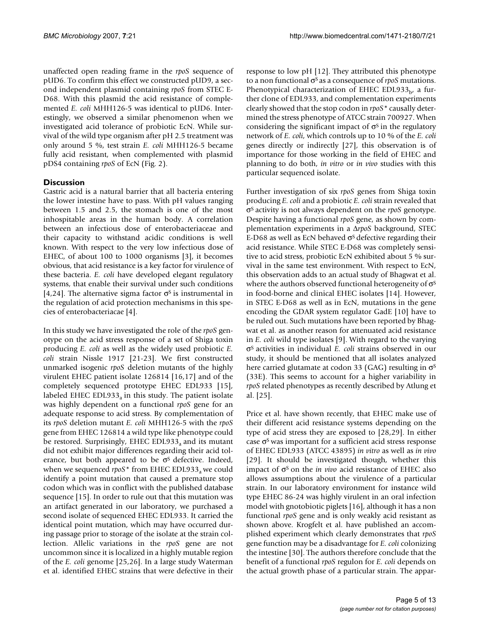unaffected open reading frame in the *rpoS* sequence of pUD6. To confirm this effect we constructed pUD9, a second independent plasmid containing *rpoS* from STEC E-D68. With this plasmid the acid resistance of complemented *E. coli* MHH126-5 was identical to pUD6. Interestingly, we observed a similar phenomenon when we investigated acid tolerance of probiotic EcN. While survival of the wild type organism after pH 2.5 treatment was only around 5 %, test strain *E. coli* MHH126-5 became fully acid resistant, when complemented with plasmid pDS4 containing *rpoS* of EcN (Fig. 2).

#### **Discussion**

Gastric acid is a natural barrier that all bacteria entering the lower intestine have to pass. With pH values ranging between 1.5 and 2.5, the stomach is one of the most inhospitable areas in the human body. A correlation between an infectious dose of enterobacteriaceae and their capacity to withstand acidic conditions is well known. With respect to the very low infectious dose of EHEC, of about 100 to 1000 organisms [3], it becomes obvious, that acid resistance is a key factor for virulence of these bacteria. *E. coli* have developed elegant regulatory systems, that enable their survival under such conditions [4,24]. The alternative sigma factor  $\sigma$ <sup>s</sup> is instrumental in the regulation of acid protection mechanisms in this species of enterobacteriacae [4].

In this study we have investigated the role of the *rpoS* genotype on the acid stress response of a set of Shiga toxin producing *E. coli* as well as the widely used probiotic *E. coli* strain Nissle 1917 [21-23]. We first constructed unmarked isogenic *rpoS* deletion mutants of the highly virulent EHEC patient isolate 126814 [16,17] and of the completely sequenced prototype EHEC EDL933 [15], labeled EHEC EDL933 $_{a}$  in this study. The patient isolate was highly dependent on a functional *rpoS* gene for an adequate response to acid stress. By complementation of its *rpoS* deletion mutant *E. coli* MHH126-5 with the *rpoS* gene from EHEC 126814 a wild type like phenotype could be restored. Surprisingly, EHEC EDL933 $_3$  and its mutant did not exhibit major differences regarding their acid tolerance, but both appeared to be  $\sigma$ <sup>s</sup> defective. Indeed, when we sequenced  $rpoS^*$  from EHEC EDL933<sub>a</sub> we could identify a point mutation that caused a premature stop codon which was in conflict with the published database sequence [15]. In order to rule out that this mutation was an artifact generated in our laboratory, we purchased a second isolate of sequenced EHEC EDL933. It carried the identical point mutation, which may have occurred during passage prior to storage of the isolate at the strain collection. Allelic variations in the *rpoS* gene are not uncommon since it is localized in a highly mutable region of the *E. coli* genome [25,26]. In a large study Waterman et al. identified EHEC strains that were defective in their

response to low pH [12]. They attributed this phenotype to a non functional σS as a consequence of *rpoS* mutations. Phenotypical characterization of EHEC EDL933 $_{\rm b}$ , a further clone of EDL933, and complementation experiments clearly showed that the stop codon in *rpoS\** causally determined the stress phenotype of ATCC strain 700927. When considering the significant impact of  $\sigma$ <sup>s</sup> in the regulatory network of *E. coli*, which controls up to 10 % of the *E. coli* genes directly or indirectly [27], this observation is of importance for those working in the field of EHEC and planning to do both, *in vitro* or *in vivo* studies with this particular sequenced isolate.

Further investigation of six *rpoS* genes from Shiga toxin producing *E. coli* and a probiotic *E. coli* strain revealed that σS activity is not always dependent on the *rpoS* genotype. Despite having a functional *rpoS* gene, as shown by complementation experiments in a Δ*rpoS* background, STEC E-D68 as well as EcN behaved  $\sigma$ <sup>S</sup> defective regarding their acid resistance. While STEC E-D68 was completely sensitive to acid stress, probiotic EcN exhibited about 5 % survival in the same test environment. With respect to EcN, this observation adds to an actual study of Bhagwat et al. where the authors observed functional heterogeneity of  $\sigma$ <sup>S</sup> in food-borne and clinical EHEC isolates [14]. However, in STEC E-D68 as well as in EcN, mutations in the gene encoding the GDAR system regulator GadE [10] have to be ruled out. Such mutations have been reported by Bhagwat et al. as another reason for attenuated acid resistance in *E. coli* wild type isolates [9]. With regard to the varying σS activities in individual *E. coli* strains observed in our study, it should be mentioned that all isolates analyzed here carried glutamate at codon 33 (GAG) resulting in  $\sigma$ <sup>S</sup> (33E). This seems to account for a higher variability in *rpoS* related phenotypes as recently described by Atlung et al. [25].

Price et al. have shown recently, that EHEC make use of their different acid resistance systems depending on the type of acid stress they are exposed to [28,29]. In either case  $\sigma$ <sup>S</sup> was important for a sufficient acid stress response of EHEC EDL933 (ATCC 43895) *in vitro* as well as *in vivo* [29]. It should be investigated though, whether this impact of  $\sigma$ <sup>S</sup> on the *in vivo* acid resistance of EHEC also allows assumptions about the virulence of a particular strain. In our laboratory environment for instance wild type EHEC 86-24 was highly virulent in an oral infection model with gnotobiotic piglets [16], although it has a non functional *rpoS* gene and is only weakly acid resistant as shown above. Krogfelt et al. have published an accomplished experiment which clearly demonstrates that *rpoS* gene function may be a disadvantage for *E. coli* colonizing the intestine [30]. The authors therefore conclude that the benefit of a functional *rpoS* regulon for *E. coli* depends on the actual growth phase of a particular strain. The appar-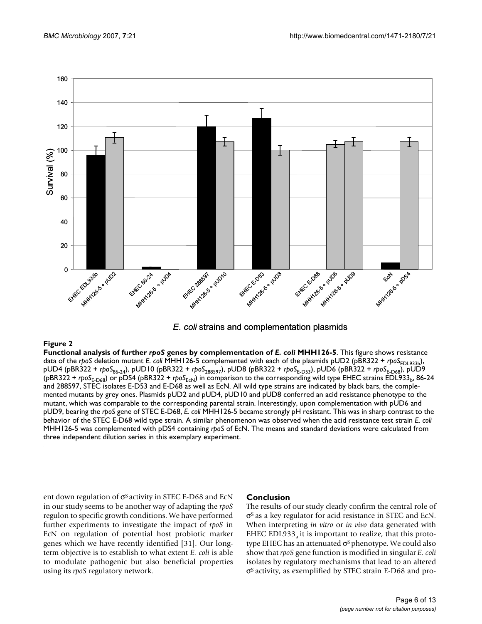

*E. coli* strains and complementation plasmids

**Figure 2** Functional analysis of further *rpoS* genes by complementation of *E. coli* MHH126-5 **Functional analysis of further** *rpoS* **genes by complementation of** *E. coli* **MHH126-5**. This figure shows resistance data of the *rpoS* deletion mutant *E. coli* MHH126-5 complemented with each of the plasmids pUD2 (pBR322 + *rpoS*<sub>EDL933b</sub>), pUD4 (pBR322 + *rpoS*86-24), pUD10 (pBR322 + *rpoS*288597), pUD8 (pBR322 + *rpoS*E-D53), pUD6 (pBR322 + *rpoS*E-D68), pUD9 (pBR322 + *rpoS*<sub>E-D68</sub>) or pDS4 (pBR322 + *rpoS*<sub>EcN</sub>) in comparison to the corresponding wild type EHEC strains EDL933<sub>b</sub>, 86-24 and 288597, STEC isolates E-D53 and E-D68 as well as EcN. All wild type strains are indicated by black bars, the complemented mutants by grey ones. Plasmids pUD2 and pUD4, pUD10 and pUD8 conferred an acid resistance phenotype to the mutant, which was comparable to the corresponding parental strain. Interestingly, upon complementation with pUD6 and pUD9, bearing the *rpoS* gene of STEC E-D68, *E. coli* MHH126-5 became strongly pH resistant. This was in sharp contrast to the behavior of the STEC E-D68 wild type strain. A similar phenomenon was observed when the acid resistance test strain *E. coli*  MHH126-5 was complemented with pDS4 containing *rpoS* of EcN. The means and standard deviations were calculated from three independent dilution series in this exemplary experiment.

ent down regulation of  $\sigma$ <sup>S</sup> activity in STEC E-D68 and EcN in our study seems to be another way of adapting the *rpoS* regulon to specific growth conditions. We have performed further experiments to investigate the impact of *rpoS* in EcN on regulation of potential host probiotic marker genes which we have recently identified [31]. Our longterm objective is to establish to what extent *E. coli* is able to modulate pathogenic but also beneficial properties using its *rpoS* regulatory network.

#### **Conclusion**

The results of our study clearly confirm the central role of σS as a key regulator for acid resistance in STEC and EcN. When interpreting *in vitro* or *in vivo* data generated with EHEC EDL933<sub>a</sub> it is important to realize, that this prototype EHEC has an attenuated  $\sigma$ <sup>s</sup> phenotype. We could also show that *rpoS* gene function is modified in singular *E. coli* isolates by regulatory mechanisms that lead to an altered σS activity, as exemplified by STEC strain E-D68 and pro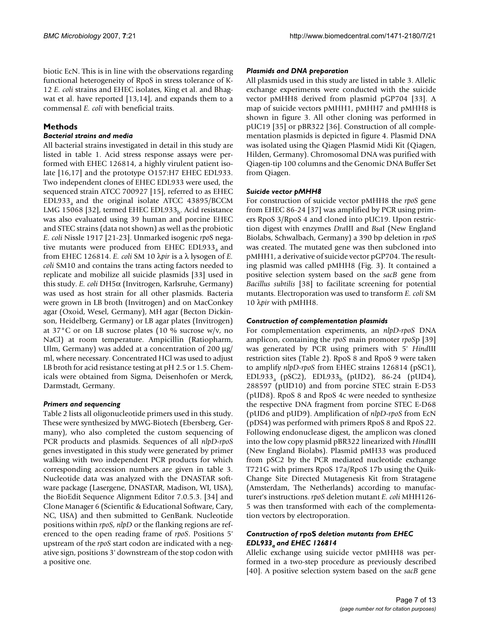biotic EcN. This is in line with the observations regarding functional heterogeneity of RpoS in stress tolerance of K-12 *E. coli* strains and EHEC isolates, King et al. and Bhagwat et al. have reported [13,14], and expands them to a commensal *E. coli* with beneficial traits.

#### **Methods**

#### *Bacterial strains and media*

All bacterial strains investigated in detail in this study are listed in table 1. Acid stress response assays were performed with EHEC 126814, a highly virulent patient isolate [16,17] and the prototype O157:H7 EHEC EDL933. Two independent clones of EHEC EDL933 were used, the sequenced strain ATCC 700927 [15], referred to as EHEC  $EDL933<sub>a</sub>$  and the original isolate ATCC 43895/BCCM LMG 15068 [32], termed EHEC EDL933 $_b$ . Acid resistance was also evaluated using 39 human and porcine EHEC and STEC strains (data not shown) as well as the probiotic *E. coli* Nissle 1917 [21-23]. Unmarked isogenic *rpo*S negative mutants were produced from EHEC EDL933 $_{a}$  and from EHEC 126814. *E. coli* SM 10 λ*pir* is a λ lysogen of *E. coli* SM10 and contains the trans acting factors needed to replicate and mobilize all suicide plasmids [33] used in this study. *E. coli* DH5α (Invitrogen, Karlsruhe, Germany) was used as host strain for all other plasmids. Bacteria were grown in LB broth (Invitrogen) and on MacConkey agar (Oxoid, Wesel, Germany), MH agar (Becton Dickinson, Heidelberg, Germany) or LB agar plates (Invitrogen) at 37°C or on LB sucrose plates (10 % sucrose w/v, no NaCl) at room temperature. Ampicillin (Ratiopharm, Ulm, Germany) was added at a concentration of 200 μg/ ml, where necessary. Concentrated HCl was used to adjust LB broth for acid resistance testing at pH 2.5 or 1.5. Chemicals were obtained from Sigma, Deisenhofen or Merck, Darmstadt, Germany.

#### *Primers and sequencing*

Table 2 lists all oligonucleotide primers used in this study. These were synthesized by MWG-Biotech (Ebersberg, Germany), who also completed the custom sequencing of PCR products and plasmids. Sequences of all *nlpD-rpoS* genes investigated in this study were generated by primer walking with two independent PCR products for which corresponding accession numbers are given in table 3. Nucleotide data was analyzed with the DNASTAR software package (Lasergene, DNASTAR, Madison, WI, USA), the BioEdit Sequence Alignment Editor 7.0.5.3. [34] and Clone Manager 6 (Scientific & Educational Software, Cary, NC, USA) and then submitted to GenBank. Nucleotide positions within *rpoS*, *nlpD* or the flanking regions are referenced to the open reading frame of *rpoS*. Positions 5' upstream of the *rpoS* start codon are indicated with a negative sign, positions 3' downstream of the stop codon with a positive one.

#### *Plasmids and DNA preparation*

All plasmids used in this study are listed in table 3. Allelic exchange experiments were conducted with the suicide vector pMHH8 derived from plasmid pGP704 [33]. A map of suicide vectors pMHH1, pMHH7 and pMHH8 is shown in figure 3. All other cloning was performed in pUC19 [35] or pBR322 [36]. Construction of all complementation plasmids is depicted in figure 4. Plasmid DNA was isolated using the Qiagen Plasmid Midi Kit (Qiagen, Hilden, Germany). Chromosomal DNA was purified with Qiagen-tip 100 columns and the Genomic DNA Buffer Set from Qiagen.

#### *Suicide vector pMHH8*

For construction of suicide vector pMHH8 the *rpoS* gene from EHEC 86-24 [\[37](#page-12-0)] was amplified by PCR using primers RpoS 3/RpoS 4 and cloned into pUC19. Upon restriction digest with enzymes *Dra*III and *Bsa*I (New England Biolabs, Schwalbach, Germany) a 390 bp deletion in *rpoS* was created. The mutated gene was then subcloned into pMHH1, a derivative of suicide vector pGP704. The resulting plasmid was called pMHH8 (Fig. 3). It contained a positive selection system based on the *sacB* gene from *Bacillus subtilis* [38] to facilitate screening for potential mutants. Electroporation was used to transform *E. coli* SM 10 λ*pir* with pMHH8.

#### *Construction of complementation plasmids*

For complementation experiments, an *nlpD-rpoS* DNA amplicon, containing the *rpoS* main promoter *rpoS*p [39] was generated by PCR using primers with 5' *Hind*III restriction sites (Table 2). RpoS 8 and RpoS 9 were taken to amplify *nlpD*-*rpoS* from EHEC strains 126814 (pSC1), EDL933<sub>a</sub> (pSC2), EDL933<sub>b</sub> (pUD2), 86-24 (pUD4), 288597 (pUD10) and from porcine STEC strain E-D53 (pUD8). RpoS 8 and RpoS 4c were needed to synthesize the respective DNA fragment from porcine STEC E-D68 (pUD6 and pUD9). Amplification of *nlpD*-*rpoS* from EcN (pDS4) was performed with primers RpoS 8 and RpoS 22. Following endonuclease digest, the amplicon was cloned into the low copy plasmid pBR322 linearized with *Hind*III (New England Biolabs). Plasmid pMH33 was produced from pSC2 by the PCR mediated nucleotide exchange T721G with primers RpoS 17a/RpoS 17b using the Quik-Change Site Directed Mutagenesis Kit from Stratagene (Amsterdam, The Netherlands) according to manufacturer's instructions. *rpoS* deletion mutant *E. coli* MHH126- 5 was then transformed with each of the complementation vectors by electroporation.

#### *Construction of* **rpoS** *deletion mutants from EHEC EDL933a and EHEC 126814*

Allelic exchange using suicide vector pMHH8 was performed in a two-step procedure as previously described [40]. A positive selection system based on the *sacB* gene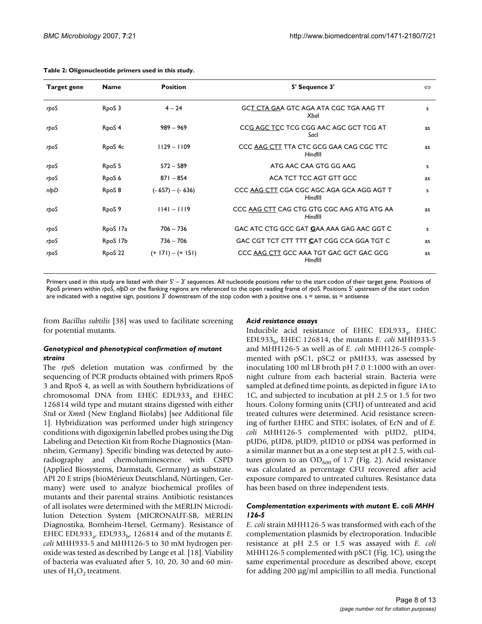| <b>Target gene</b> | <b>Name</b>        | <b>Position</b>     | 5' Sequence 3'                                        | $\Leftrightarrow$ |
|--------------------|--------------------|---------------------|-------------------------------------------------------|-------------------|
| rpoS               | RpoS 3             | $4 - 24$            | GCT CTA GAA GTC AGA ATA CGC TGA AAG TT<br>Xbal        | s                 |
| rpoS               | RpoS <sub>4</sub>  | $989 - 969$         | CCG AGC TCC TCG CGG AAC AGC GCT TCG AT<br>Sacl        | as                |
| rpoS               | RpoS <sub>4c</sub> | $1129 - 1109$       | CCC AAG CTT TTA CTC GCG GAA CAG CGC TTC<br>Hindlll    | as                |
| rpoS               | RpoS <sub>5</sub>  | $572 - 589$         | ATG AAC CAA GTG GG AAG                                | s                 |
| rpoS               | RpoS <sub>6</sub>  | $871 - 854$         | ACA TCT TCC AGT GTT GCC                               | as                |
| nlpD               | Rpo <sub>S</sub> 8 | $(-657) - (-636)$   | CCC AAG CTT CGA CGC AGC AGA GCA AGG AGT T<br>Hindlll  | s                 |
| rpoS               | RpoS <sub>9</sub>  | $ 114  -  119 $     | CCC AAG CTT CAG CTG GTG CGC AAG ATG ATG AA<br>HindIII | <b>as</b>         |
| rpoS               | RpoS 17a           | $706 - 736$         | GAC ATC CTG GCC GAT GAA AAA GAG AAC GGT C             | s                 |
| rpoS               | RpoS 17b           | $736 - 706$         | GAC CGT TCT CTT TTT CAT CGG CCA GGA TGT C             | <b>as</b>         |
| rpoS               | RpoS 22            | $(+ 171) - (+ 151)$ | CCC AAG CTT GCC AAA TGT GAC GCT GAC GCG<br>Hindlll    |                   |

Primers used in this study are listed with their 5' - 3' sequences. All nucleotide positions refer to the start codon of their target gene. Positions of RpoS primers within *rpoS*, *nlpD* or the flanking regions are referenced to the open reading frame of *rpoS*. Positions 5' upstream of the start codon are indicated with a negative sign, positions 3' downstream of the stop codon with a positive one. s = sense, as = antisense

from *Bacillus subtilis* [38] was used to facilitate screening for potential mutants.

## *Acid resistance assays*

#### *Genotypical and phenotypical confirmation of mutant strains*

The *rpo*S deletion mutation was confirmed by the sequencing of PCR products obtained with primers RpoS 3 and RpoS 4, as well as with Southern hybridizations of chromosomal DNA from EHEC EDL933 $_3$  and EHEC 126814 wild type and mutant strains digested with either *Stu*I or *Xmn*I (New England Biolabs) [see Additional file 1]. Hybridization was performed under high stringency conditions with digoxigenin labelled probes using the Dig Labeling and Detection Kit from Roche Diagnostics (Mannheim, Germany). Specific binding was detected by autoradiography and chemoluminescence with CSPD (Applied Biosystems, Darmstadt, Germany) as substrate. API 20 E strips (bioMérieux Deutschland, Nürtingen, Germany) were used to analyze biochemical profiles of mutants and their parental strains. Antibiotic resistances of all isolates were determined with the MERLIN Microdilution Detection System (MICRONAUT-SB, MERLIN Diagnostika, Bornheim-Hersel, Germany). Resistance of EHEC EDL933<sub>a</sub>, EDL933<sub>b</sub>, 126814 and of the mutants *E*. *coli* MHH933-5 and MHH126-5 to 30 mM hydrogen peroxide was tested as described by Lange et al. [18]. Viability of bacteria was evaluated after 5, 10, 20, 30 and 60 minutes of  $H_2O_2$  treatment.

Inducible acid resistance of EHEC EDL933 $_{24}$  EHEC EDL933b, EHEC 126814, the mutants *E. coli* MHH933-5 and MHH126-5 as well as of *E. coli* MHH126-5 complemented with pSC1, pSC2 or pMH33, was assessed by inoculating 100 ml LB broth pH 7.0 1:1000 with an overnight culture from each bacterial strain. Bacteria were sampled at defined time points, as depicted in figure 1A to 1C, and subjected to incubation at pH 2.5 or 1.5 for two hours. Colony forming units (CFU) of untreated and acid treated cultures were determined. Acid resistance screening of further EHEC and STEC isolates, of EcN and of *E. coli* MHH126-5 complemented with pUD2, pUD4, pUD6, pUD8, pUD9, pUD10 or pDS4 was performed in a similar manner but as a one step test at pH 2.5, with cultures grown to an  $OD_{600}$  of 1.7 (Fig. 2). Acid resistance was calculated as percentage CFU recovered after acid exposure compared to untreated cultures. Resistance data has been based on three independent tests.

#### *Complementation experiments with mutant* **E. coli** *MHH 126-5*

*E. coli* strain MHH126-5 was transformed with each of the complementation plasmids by electroporation. Inducible resistance at pH 2.5 or 1.5 was assayed with *E. coli* MHH126-5 complemented with pSC1 (Fig. 1C), using the same experimental procedure as described above, except for adding 200 μg/ml ampicillin to all media. Functional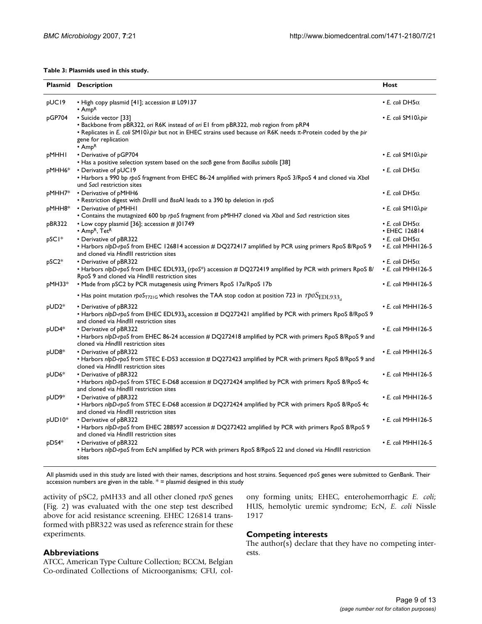#### **Table 3: Plasmids used in this study.**

|        | <b>Plasmid Description</b>                                                                                                                                                                                                                                                                        | Host                                               |
|--------|---------------------------------------------------------------------------------------------------------------------------------------------------------------------------------------------------------------------------------------------------------------------------------------------------|----------------------------------------------------|
| pUC19  | • High copy plasmid [41]; accession # L09137<br>$\cdot$ Amp <sup>R</sup>                                                                                                                                                                                                                          | $\cdot$ E. coli DH5 $\alpha$                       |
| pGP704 | • Suicide vector [33]<br>• Backbone from pBR322, ori R6K instead of ori E1 from pBR322, mob region from pRP4<br>• Replicates in E. coli SM10 $\lambda$ pir but not in EHEC strains used because ori R6K needs $\pi$ -Protein coded by the pir<br>gene for replication<br>$\cdot$ Amp <sup>R</sup> | • E. coli SM 10λpir                                |
| pMHHI  | • Derivative of pGP704<br>• Has a positive selection system based on the sacB gene from Bacillus subtilis [38]                                                                                                                                                                                    | • E. coli SM 10λpir                                |
| pMHH6* | • Derivative of pUC19<br>• Harbors a 990 bp rpoS fragment from EHEC 86-24 amplified with primers RpoS 3/RpoS 4 and cloned via Xbal<br>und Sacl restriction sites                                                                                                                                  | $\cdot$ E. coli DH5 $\alpha$                       |
| pMHH7* | • Derivative of pMHH6<br>. Restriction digest with Dralll und BsaAl leads to a 390 bp deletion in rpoS                                                                                                                                                                                            | $\cdot$ E. coli DH5 $\alpha$                       |
| pMHH8* | • Derivative of pMHHI<br>• Contains the mutagnized 600 bp rpoS fragment from pMHH7 cloned via Xbal and Sacl restriction sites                                                                                                                                                                     | • E. coli SM 10λpir                                |
| pBR322 | • Low copy plasmid [36]; accession # 101749<br>• Amp <sup>R</sup> , Tet <sup>R</sup>                                                                                                                                                                                                              | $\cdot$ E. coli DH5 $\alpha$<br>• EHEC 126814      |
| pSCI*  | • Derivative of pBR322<br>• Harbors nlpD-rpoS from EHEC 126814 accession # DQ272417 amplified by PCR using primers RpoS 8/RpoS 9<br>and cloned via HindIII restriction sites                                                                                                                      | $\cdot$ E. coli DH5 $\alpha$<br>• E. coli MHH126-5 |
| pSC2*  | • Derivative of pBR322<br>• Harbors nlpD-rpoS from EHEC EDL933 <sub>a</sub> (rpoS <sup>*</sup> ) accession # DQ272419 amplified by PCR with primers RpoS 8/<br>RpoS 9 and cloned via HindIII restriction sites                                                                                    | • E. coli DH5 $\alpha$<br>• E. coli MHH126-5       |
| pMH33* | • Made from pSC2 by PCR mutagenesis using Primers RpoS 17a/RpoS 17b                                                                                                                                                                                                                               | • E. coli MHH126-5                                 |
|        | • Has point mutation rpoS <sub>T721G</sub> which resolves the TAA stop codon at position 723 in $\text{tpoS}_{\text{EDL933}_4}$                                                                                                                                                                   |                                                    |
| pUD2*  | • Derivative of pBR322<br>• Harbors nlpD-rpoS from EHEC EDL933 <sub>b</sub> accession # DQ272421 amplified by PCR with primers RpoS 8/RpoS 9<br>and cloned via HindIII restriction sites                                                                                                          | • E. coli MHH126-5                                 |
| pUD4*  | • Derivative of pBR322<br>• Harbors nlpD-rpoS from EHEC 86-24 accession # DQ272418 amplified by PCR with primers RpoS 8/RpoS 9 and<br>cloned via HindIII restriction sites                                                                                                                        | • E. coli MHH126-5                                 |
| pUD8*  | • Derivative of pBR322<br>• Harbors nlpD-rpoS from STEC E-D53 accession # DQ272423 amplified by PCR with primers RpoS 8/RpoS 9 and<br>cloned via HindIII restriction sites                                                                                                                        | • E. coli MHH126-5                                 |
| pUD6*  | • Derivative of pBR322<br>• Harbors nlpD-rpoS from STEC E-D68 accession # DQ272424 amplified by PCR with primers RpoS 8/RpoS 4c<br>and cloned via HindIII restriction sites                                                                                                                       | • E. coli MHH126-5                                 |
| pUD9*  | • Derivative of pBR322<br>• Harbors nlpD-rpoS from STEC E-D68 accession # DQ272424 amplified by PCR with primers RpoS 8/RpoS 4c<br>and cloned via HindIII restriction sites                                                                                                                       | • E. coli MHH126-5                                 |
| pUD10* | • Derivative of pBR322<br>• Harbors nlpD-rpoS from EHEC 288597 accession # DQ272422 amplified by PCR with primers RpoS 8/RpoS 9<br>and cloned via HindIII restriction sites                                                                                                                       | · E. coli MHH126-5                                 |
| pDS4*  | • Derivative of pBR322<br>• Harbors nlpD-rpoS from EcN amplified by PCR with primers RpoS 8/RpoS 22 and cloned via HindIII restriction<br>sites                                                                                                                                                   | • E. coli MHH126-5                                 |

All plasmids used in this study are listed with their names, descriptions and host strains. Sequenced *rpoS* genes were submitted to GenBank. Their accession numbers are given in the table.  $* =$  plasmid designed in this study

activity of pSC2, pMH33 and all other cloned *rpoS* genes (Fig. 2) was evaluated with the one step test described above for acid resistance screening. EHEC 126814 transformed with pBR322 was used as reference strain for these experiments.

#### **Abbreviations**

ATCC, American Type Culture Collection; BCCM, Belgian Co-ordinated Collections of Microorganisms; CFU, colony forming units; EHEC, enterohemorrhagic *E. coli*; HUS, hemolytic uremic syndrome; EcN, *E. coli* Nissle 1917

#### **Competing interests**

The author(s) declare that they have no competing interests.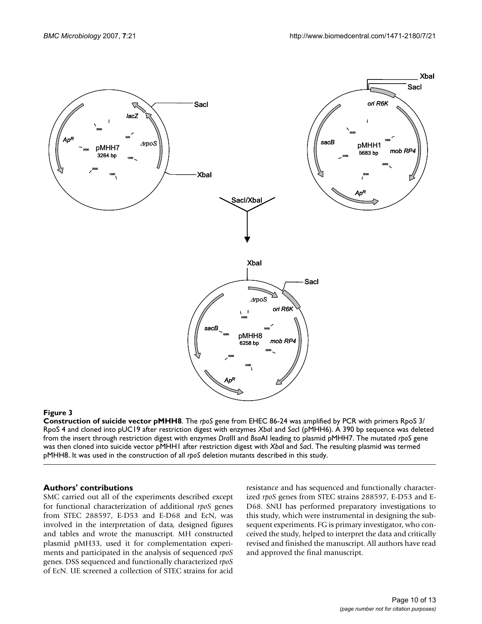

#### **Figure 3**

**Construction of suicide vector pMHH8**. The *rpoS* gene from EHEC 86-24 was amplified by PCR with primers RpoS 3/ RpoS 4 and cloned into pUC19 after restriction digest with enzymes *Xba*I and *Sac*I (pMHH6). A 390 bp sequence was deleted from the insert through restriction digest with enzymes *Dra*III and *Bsa*AI leading to plasmid pMHH7. The mutated *rpoS* gene was then cloned into suicide vector pMHH1 after restriction digest with *Xba*I and *Sac*I. The resulting plasmid was termed pMHH8. It was used in the construction of all *rpoS* deletion mutants described in this study.

#### **Authors' contributions**

SMC carried out all of the experiments described except for functional characterization of additional *rpoS* genes from STEC 288597, E-D53 and E-D68 and EcN, was involved in the interpretation of data, designed figures and tables and wrote the manuscript. MH constructed plasmid pMH33, used it for complementation experiments and participated in the analysis of sequenced *rpoS* genes. DSS sequenced and functionally characterized *rpoS* of EcN. UE screened a collection of STEC strains for acid

resistance and has sequenced and functionally characterized *rpoS* genes from STEC strains 288597, E-D53 and E-D68. SNU has performed preparatory investigations to this study, which were instrumental in designing the subsequent experiments. FG is primary investigator, who conceived the study, helped to interpret the data and critically revised and finished the manuscript. All authors have read and approved the final manuscript.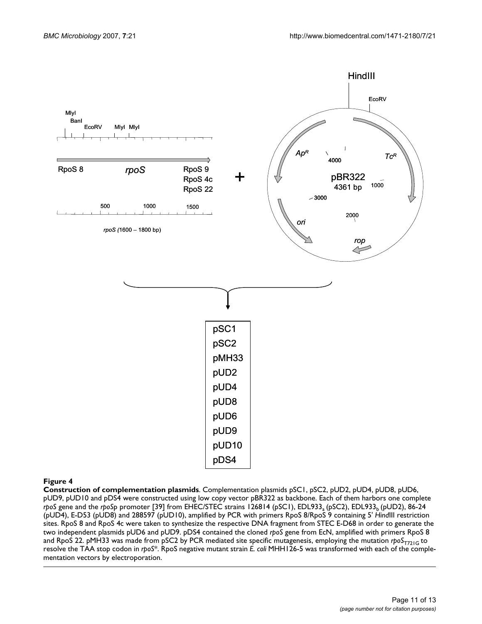

#### **Figure 4**

**Construction of complementation plasmids**. Complementation plasmids pSC1, pSC2, pUD2, pUD4, pUD8, pUD6, pUD9, pUD10 and pDS4 were constructed using low copy vector pBR322 as backbone. Each of them harbors one complete *rpoS gene and the <i>rpoSp promoter* [39] from EHEC/STEC strains 126814 (pSC1), EDL933<sub>a</sub> (pSC2), EDL933<sub>b</sub> (pUD2), 86-24 (pUD4), E-D53 (pUD8) and 288597 (pUD10), amplified by PCR with primers RpoS 8/RpoS 9 containing 5' *Hind*III restriction sites. RpoS 8 and RpoS 4c were taken to synthesize the respective DNA fragment from STEC E-D68 in order to generate the two independent plasmids pUD6 and pUD9. pDS4 contained the cloned *rpoS* gene from EcN, amplified with primers RpoS 8 and RpoS 22. pMH33 was made from pSC2 by PCR mediated site specific mutagenesis, employing the mutation *rpoS*<sub>T721G</sub> to resolve the TAA stop codon in *rpoS*\*. RpoS negative mutant strain *E. coli* MHH126-5 was transformed with each of the complementation vectors by electroporation.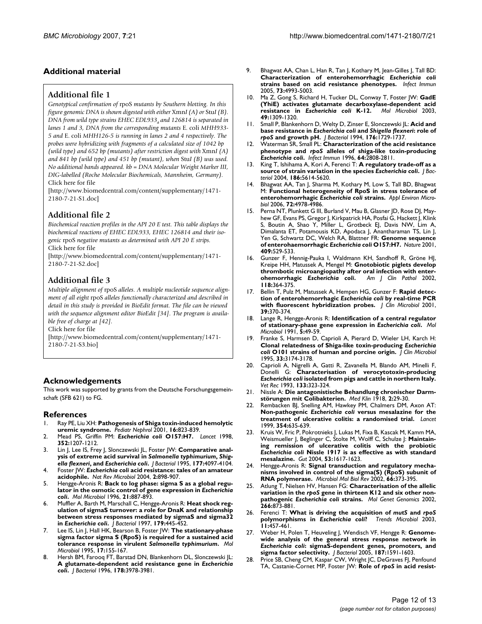### **Additional material**

#### **Additional file 1**

*Genotypical confirmation of* rpoS *mutants by Southern blotting. In this figure genomic DNA is shown digested with either* Xmn*I (A) or* Stu*I (B).*  DNA from wild type strains EHEC EDL933<sub>a</sub> and 126814 is separated in *lanes 1 and 3, DNA from the corresponding mutants* E. coli *MHH933- 5 and* E. coli *MHH126-5 is running in lanes 2 and 4 respectively. The probes were hybridizing with fragments of a calculated size of 1042 bp (wild type) and 652 bp (mutants) after restriction digest with* Xmn*I (A) and 841 bp (wild type) and 451 bp (mutant), when* Stu*I (B) was used. No additional bands appeared. kb = DNA Molecular Weight Marker III, DIG-labelled (Roche Molecular Biochemicals, Mannheim, Germany).* Click here for file

[\[http://www.biomedcentral.com/content/supplementary/1471-](http://www.biomedcentral.com/content/supplementary/1471-2180-7-21-S1.doc) 2180-7-21-S1.doc]

### **Additional file 2**

*Biochemical reaction profiles in the API 20 E test. This table displays the biochemical reactions of EHEC EDL933, EHEC 126814 and their isogenic* rpoS *negative mutants as determined with API 20 E strips.* Click here for file

[\[http://www.biomedcentral.com/content/supplementary/1471-](http://www.biomedcentral.com/content/supplementary/1471-2180-7-21-S2.doc) 2180-7-21-S2.doc]

#### **Additional file 3**

*Multiple alignment of* rpoS *alleles. A multiple nucleotide sequence alignment of all eight* rpoS *alleles functionally characterized and described in detail in this study is provided in BioEdit format. The file can be viewed with the sequence alignment editor BioEdit [34]. The program is available free of charge at [42].*

Click here for file

[\[http://www.biomedcentral.com/content/supplementary/1471-](http://www.biomedcentral.com/content/supplementary/1471-2180-7-21-S3.bio) 2180-7-21-S3.bio]

#### **Acknowledgements**

This work was supported by grants from the Deutsche Forschungsgemeinschaft (SFB 621) to FG.

#### **References**

- 1. Ray PE, Liu XH: **[Pathogenesis of Shiga toxin-induced hemolytic](http://www.ncbi.nlm.nih.gov/entrez/query.fcgi?cmd=Retrieve&db=PubMed&dopt=Abstract&list_uids=11605791) [uremic syndrome.](http://www.ncbi.nlm.nih.gov/entrez/query.fcgi?cmd=Retrieve&db=PubMed&dopt=Abstract&list_uids=11605791)** *Pediatr Nephrol* 2001, **16:**823-839.
- 2. Mead PS, Griffin PM: *Escherichia coli* **[O157:H7.](http://www.ncbi.nlm.nih.gov/entrez/query.fcgi?cmd=Retrieve&db=PubMed&dopt=Abstract&list_uids=9777854)** *Lancet* 1998, **352:**1207-1212.
- 3. Lin J, Lee IS, Frey J, Slonczewski JL, Foster JW: **Comparative analysis of extreme acid survival in** *Salmonella typhimurium***,** *Shigella flexneri***, and** *Escherichia coli***[.](http://www.ncbi.nlm.nih.gov/entrez/query.fcgi?cmd=Retrieve&db=PubMed&dopt=Abstract&list_uids=7608084)** *J Bacteriol* 1995, **177:**4097-4104.
- 4. Foster JW: *Escherichia coli* **[acid resistance: tales of an amateur](http://www.ncbi.nlm.nih.gov/entrez/query.fcgi?cmd=Retrieve&db=PubMed&dopt=Abstract&list_uids=15494746) [acidophile.](http://www.ncbi.nlm.nih.gov/entrez/query.fcgi?cmd=Retrieve&db=PubMed&dopt=Abstract&list_uids=15494746)** *Nat Rev Microbiol* 2004, **2:**898-907.
- 5. Hengge-Aronis R: **Back to log phase: sigma S as a global regulator in the osmotic control of gene expression in** *Escherichia coli***[.](http://www.ncbi.nlm.nih.gov/entrez/query.fcgi?cmd=Retrieve&db=PubMed&dopt=Abstract&list_uids=8885260)** *Mol Microbiol* 1996, **21:**887-893.
- 6. Muffler A, Barth M, Marschall C, Hengge-Aronis R: **Heat shock regulation of sigmaS turnover: a role for DnaK and relationship between stress responses mediated by sigmaS and sigma32 in** *Escherichia coli***[.](http://www.ncbi.nlm.nih.gov/entrez/query.fcgi?cmd=Retrieve&db=PubMed&dopt=Abstract&list_uids=8990297)** *J Bacteriol* 1997, **179:**445-452.
- 7. Lee IS, Lin J, Hall HK, Bearson B, Foster JW: **The stationary-phase sigma factor sigma S (RpoS) is required for a sustained acid tolerance response in virulent** *Salmonella typhimurium***[.](http://www.ncbi.nlm.nih.gov/entrez/query.fcgi?cmd=Retrieve&db=PubMed&dopt=Abstract&list_uids=7476202)** *Mol Microbiol* 1995, **17:**155-167.
- Hersh BM, Farooq FT, Barstad DN, Blankenhorn DL, Slonczewski JL: **A glutamate-dependent acid resistance gene in** *Escherichia coli***[.](http://www.ncbi.nlm.nih.gov/entrez/query.fcgi?cmd=Retrieve&db=PubMed&dopt=Abstract&list_uids=8682809)** *J Bacteriol* 1996, **178:**3978-3981.
- 9. Bhagwat AA, Chan L, Han R, Tan J, Kothary M, Jean-Gilles J, Tall BD: **Characterization of enterohemorrhagic** *Escherichia coli* **[strains based on acid resistance phenotypes.](http://www.ncbi.nlm.nih.gov/entrez/query.fcgi?cmd=Retrieve&db=PubMed&dopt=Abstract&list_uids=16041014)** *Infect Immun* 2005, **73:**4993-5003.
- 10. Ma Z, Gong S, Richard H, Tucker DL, Conway T, Foster JW: **GadE (YhiE) activates glutamate decarboxylase-dependent acid resistance in** *Escherichia coli* **[K-12.](http://www.ncbi.nlm.nih.gov/entrez/query.fcgi?cmd=Retrieve&db=PubMed&dopt=Abstract&list_uids=12940989)** *Mol Microbiol* 2003, **49:**1309-1320.
- 11. Small P, Blankenhorn D, Welty D, Zinser E, Slonczewski JL: **Acid and base resistance in** *Escherichia coli* **and** *Shigella flexneri***: role of** *rpoS* **[and growth pH.](http://www.ncbi.nlm.nih.gov/entrez/query.fcgi?cmd=Retrieve&db=PubMed&dopt=Abstract&list_uids=8132468)** *J Bacteriol* 1994, **176:**1729-1737.
- 12. Waterman SR, Small PL: **Characterization of the acid resistance phenotype and** *rpoS* **alleles of shiga-like toxin-producing** *Escherichia coli***[.](http://www.ncbi.nlm.nih.gov/entrez/query.fcgi?cmd=Retrieve&db=PubMed&dopt=Abstract&list_uids=8698513)** *Infect Immun* 1996, **64:**2808-2811.
- 13. King T, Ishihama A, Kori A, Ferenci T: **A regulatory trade-off as a source of strain variation in the species** *Escherichia coli***[.](http://www.ncbi.nlm.nih.gov/entrez/query.fcgi?cmd=Retrieve&db=PubMed&dopt=Abstract&list_uids=15317765)** *J Bacteriol* 2004, **186:**5614-5620.
- 14. Bhagwat AA, Tan J, Sharma M, Kothary M, Low S, Tall BD, Bhagwat M: **Functional heterogeneity of RpoS in stress tolerance of enterohemorrhagic** *Escherichia coli* **[strains.](http://www.ncbi.nlm.nih.gov/entrez/query.fcgi?cmd=Retrieve&db=PubMed&dopt=Abstract&list_uids=16820496)** *Appl Environ Microbiol* 2006, **72:**4978-4986.
- Perna NT, Plunkett G III, Burland V, Mau B, Glasner JD, Rose DJ, Mayhew GF, Evans PS, Gregor J, Kirkpatrick HA, Posfai G, Hackett J, Klink S, Boutin A, Shao Y, Miller L, Grotbeck EJ, Davis NW, Lim A, Dimalanta ET, Potamousis KD, Apodaca J, Anantharaman TS, Lin J, Yen G, Schwartz DC, Welch RA, Blattner FR: **Genome sequence of enterohaemorrhagic** *Escherichia coli* **[O157:H7.](http://www.ncbi.nlm.nih.gov/entrez/query.fcgi?cmd=Retrieve&db=PubMed&dopt=Abstract&list_uids=11206551)** *Nature* 2001, **409:**529-533.
- 16. Gunzer F, Hennig-Pauka I, Waldmann KH, Sandhoff R, Gröne HJ, Kreipe HH, Matussek A, Mengel M: **Gnotobiotic piglets develop thrombotic microangiopathy after oral infection with enterohemorrhagic** *Escherichia coli***[.](http://www.ncbi.nlm.nih.gov/entrez/query.fcgi?cmd=Retrieve&db=PubMed&dopt=Abstract&list_uids=12219778)** *Am J Clin Pathol* 2002, **118:**364-375.
- 17. Bellin T, Pulz M, Matussek A, Hempen HG, Gunzer F: **Rapid detection of enterohemorrhagic** *Escherichia coli* **[by real-time PCR](http://www.ncbi.nlm.nih.gov/entrez/query.fcgi?cmd=Retrieve&db=PubMed&dopt=Abstract&list_uids=11136804) [with fluorescent hybridization probes.](http://www.ncbi.nlm.nih.gov/entrez/query.fcgi?cmd=Retrieve&db=PubMed&dopt=Abstract&list_uids=11136804)** *J Clin Microbiol* 2001, **39:**370-374.
- 18. Lange R, Hengge-Aronis R: **Identification of a central regulator of stationary-phase gene expression in** *Escherichia coli***[.](http://www.ncbi.nlm.nih.gov/entrez/query.fcgi?cmd=Retrieve&db=PubMed&dopt=Abstract&list_uids=1849609)** *Mol Microbiol* 1991, **5:**49-59.
- 19. Franke S, Harmsen D, Caprioli A, Pierard D, Wieler LH, Karch H: **Clonal relatedness of Shiga-like toxin-producing** *Escherichia coli* **[O101 strains of human and porcine origin.](http://www.ncbi.nlm.nih.gov/entrez/query.fcgi?cmd=Retrieve&db=PubMed&dopt=Abstract&list_uids=8586696)** *J Clin Microbiol* 1995, **33:**3174-3178.
- <span id="page-11-0"></span>20. Caprioli A, Nigrelli A, Gatti R, Zavanella M, Blando AM, Minelli F, Donelli G: **Characterisation of verocytotoxin-producing** *Escherichia coli* **[isolated from pigs and cattle in northern Italy.](http://www.ncbi.nlm.nih.gov/entrez/query.fcgi?cmd=Retrieve&db=PubMed&dopt=Abstract&list_uids=8236671)** *Vet Rec* 1993, **133:**323-324.
- 21. Nissle A: **Die antagonistische Behandlung chronischer Darmstörungen mit Colibakterien.** *Med Klin* 1918, **2:**29-30.
- 22. Rembacken BJ, Snelling AM, Hawkey PM, Chalmers DM, Axon AT: **Non-pathogenic** *Escherichia coli* **[versus mesalazine for the](http://www.ncbi.nlm.nih.gov/entrez/query.fcgi?cmd=Retrieve&db=PubMed&dopt=Abstract&list_uids=10466665) [treatment of ulcerative colitis: a randomised trial.](http://www.ncbi.nlm.nih.gov/entrez/query.fcgi?cmd=Retrieve&db=PubMed&dopt=Abstract&list_uids=10466665)** *Lancet* 1999, **354:**635-639.
- 23. Kruis W, Fric P, Pokrotnieks J, Lukas M, Fixa B, Kascak M, Kamm MA, Weismueller J, Beglinger C, Stolte M, Wolff C, Schulze J: **Maintaining remission of ulcerative colitis with the probiotic** *Escherichia coli* **[Nissle 1917 is as effective as with standard](http://www.ncbi.nlm.nih.gov/entrez/query.fcgi?cmd=Retrieve&db=PubMed&dopt=Abstract&list_uids=15479682) [mesalazine.](http://www.ncbi.nlm.nih.gov/entrez/query.fcgi?cmd=Retrieve&db=PubMed&dopt=Abstract&list_uids=15479682)** *Gut* 2004, **53:**1617-1623.
- 24. Hengge-Aronis R: **[Signal transduction and regulatory mecha](http://www.ncbi.nlm.nih.gov/entrez/query.fcgi?cmd=Retrieve&db=PubMed&dopt=Abstract&list_uids=12208995)[nisms involved in control of the sigma\(S\) \(RpoS\) subunit of](http://www.ncbi.nlm.nih.gov/entrez/query.fcgi?cmd=Retrieve&db=PubMed&dopt=Abstract&list_uids=12208995) [RNA polymerase.](http://www.ncbi.nlm.nih.gov/entrez/query.fcgi?cmd=Retrieve&db=PubMed&dopt=Abstract&list_uids=12208995)** *Microbiol Mol Biol Rev* 2002, **66:**373-395.
- 25. Atlung T, Nielsen HV, Hansen FG: **Characterisation of the allelic variation in the** *rpoS* **gene in thirteen K12 and six other nonpathogenic** *Escherichia coli* **[strains.](http://www.ncbi.nlm.nih.gov/entrez/query.fcgi?cmd=Retrieve&db=PubMed&dopt=Abstract&list_uids=11810263)** *Mol Genet Genomics* 2002, **266:**873-881.
- 26. Ferenci T: What is driving the acquisition of *mutS* and *rpoS* polymorphisms in *Escherichia coli?* Trends *Microbiol* 2003, **polymorphisms in** *Escherichia coli***[?](http://www.ncbi.nlm.nih.gov/entrez/query.fcgi?cmd=Retrieve&db=PubMed&dopt=Abstract&list_uids=14557028)** *Trends Microbiol* 2003, **11:**457-461.
- 27. Weber H, Polen T, Heuveling J, Wendisch VF, Hengge R: **Genomewide analysis of the general stress response network in** *Escherichia coli***[: sigmaS-dependent genes, promoters, and](http://www.ncbi.nlm.nih.gov/entrez/query.fcgi?cmd=Retrieve&db=PubMed&dopt=Abstract&list_uids=15716429) [sigma factor selectivity.](http://www.ncbi.nlm.nih.gov/entrez/query.fcgi?cmd=Retrieve&db=PubMed&dopt=Abstract&list_uids=15716429)** *J Bacteriol* 2005, **187:**1591-1603.
- 28. Price SB, Cheng CM, Kaspar CW, Wright JC, DeGraves FJ, Penfound TA, Castanie-Cornet MP, Foster JW: **Role of** *rpoS* **in acid resist-**